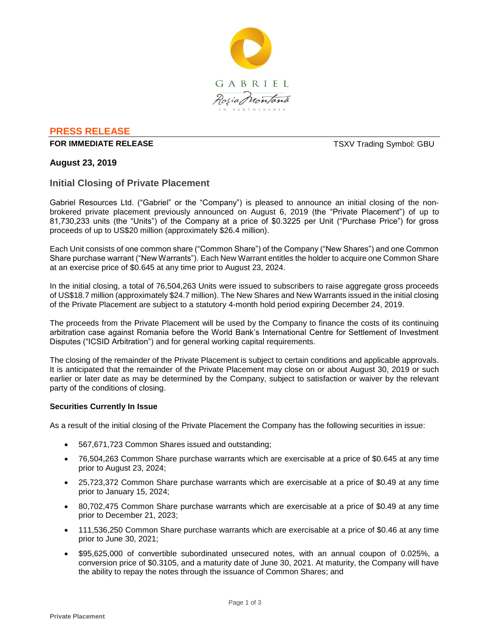

## **PRESS RELEASE**

#### **FOR IMMEDIATE RELEASE THE SECOND SYMBOL: GBU TSXV Trading Symbol: GBU**

## **August 23, 2019**

### **Initial Closing of Private Placement**

Gabriel Resources Ltd. ("Gabriel" or the "Company") is pleased to announce an initial closing of the nonbrokered private placement previously announced on August 6, 2019 (the "Private Placement") of up to 81,730,233 units (the "Units") of the Company at a price of \$0.3225 per Unit ("Purchase Price") for gross proceeds of up to US\$20 million (approximately \$26.4 million).

Each Unit consists of one common share ("Common Share") of the Company ("New Shares") and one Common Share purchase warrant ("New Warrants"). Each New Warrant entitles the holder to acquire one Common Share at an exercise price of \$0.645 at any time prior to August 23, 2024.

In the initial closing, a total of 76,504,263 Units were issued to subscribers to raise aggregate gross proceeds of US\$18.7 million (approximately \$24.7 million). The New Shares and New Warrants issued in the initial closing of the Private Placement are subject to a statutory 4-month hold period expiring December 24, 2019.

The proceeds from the Private Placement will be used by the Company to finance the costs of its continuing arbitration case against Romania before the World Bank's International Centre for Settlement of Investment Disputes ("ICSID Arbitration") and for general working capital requirements.

The closing of the remainder of the Private Placement is subject to certain conditions and applicable approvals. It is anticipated that the remainder of the Private Placement may close on or about August 30, 2019 or such earlier or later date as may be determined by the Company, subject to satisfaction or waiver by the relevant party of the conditions of closing.

#### **Securities Currently In Issue**

As a result of the initial closing of the Private Placement the Company has the following securities in issue:

- 567,671,723 Common Shares issued and outstanding;
- 76,504,263 Common Share purchase warrants which are exercisable at a price of \$0.645 at any time prior to August 23, 2024;
- 25,723,372 Common Share purchase warrants which are exercisable at a price of \$0.49 at any time prior to January 15, 2024;
- 80,702,475 Common Share purchase warrants which are exercisable at a price of \$0.49 at any time prior to December 21, 2023;
- 111,536,250 Common Share purchase warrants which are exercisable at a price of \$0.46 at any time prior to June 30, 2021;
- \$95,625,000 of convertible subordinated unsecured notes, with an annual coupon of 0.025%, a conversion price of \$0.3105, and a maturity date of June 30, 2021. At maturity, the Company will have the ability to repay the notes through the issuance of Common Shares; and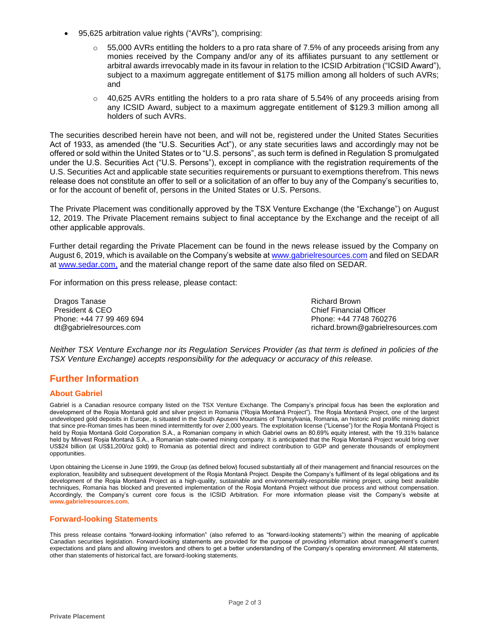- 95,625 arbitration value rights ("AVRs"), comprising:
	- 55,000 AVRs entitling the holders to a pro rata share of 7.5% of any proceeds arising from any monies received by the Company and/or any of its affiliates pursuant to any settlement or arbitral awards irrevocably made in its favour in relation to the ICSID Arbitration ("ICSID Award"), subject to a maximum aggregate entitlement of \$175 million among all holders of such AVRs; and
	- 40,625 AVRs entitling the holders to a pro rata share of 5.54% of any proceeds arising from any ICSID Award, subject to a maximum aggregate entitlement of \$129.3 million among all holders of such AVRs.

The securities described herein have not been, and will not be, registered under the United States Securities Act of 1933, as amended (the "U.S. Securities Act"), or any state securities laws and accordingly may not be offered or sold within the United States or to "U.S. persons", as such term is defined in Regulation S promulgated under the U.S. Securities Act ("U.S. Persons"), except in compliance with the registration requirements of the U.S. Securities Act and applicable state securities requirements or pursuant to exemptions therefrom. This news release does not constitute an offer to sell or a solicitation of an offer to buy any of the Company's securities to, or for the account of benefit of, persons in the United States or U.S. Persons.

The Private Placement was conditionally approved by the TSX Venture Exchange (the "Exchange") on August 12, 2019. The Private Placement remains subject to final acceptance by the Exchange and the receipt of all other applicable approvals.

Further detail regarding the Private Placement can be found in the news release issued by the Company on August 6, 2019, which is available on the Company's website at www.gabrielresources.com and filed on SEDAR at www.sedar.com, and the material change report of the same date also filed on SEDAR.

For information on this press release, please contact:

Dragos Tanase President & CEO Phone: +44 77 99 469 694 dt@gabrielresources.com

Richard Brown Chief Financial Officer Phone: +44 7748 760276 richard.brown@gabrielresources.com

*Neither TSX Venture Exchange nor its Regulation Services Provider (as that term is defined in policies of the TSX Venture Exchange) accepts responsibility for the adequacy or accuracy of this release.*

# **Further Information**

#### **About Gabriel**

Gabriel is a Canadian resource company listed on the TSX Venture Exchange. The Company's principal focus has been the exploration and development of the Roșia Montană gold and silver project in Romania ("Roşia Montană Project"). The Roşia Montană Project, one of the largest undeveloped gold deposits in Europe, is situated in the South Apuseni Mountains of Transylvania, Romania, an historic and prolific mining district that since pre-Roman times has been mined intermittently for over 2,000 years. The exploitation license ("License") for the Roşia Montană Project is held by Roșia Montană Gold Corporation S.A., a Romanian company in which Gabriel owns an 80.69% equity interest, with the 19.31% balance held by Minvest Roșia Montană S.A., a Romanian state-owned mining company. It is anticipated that the Roşia Montană Project would bring over US\$24 billion (at US\$1,200/oz gold) to Romania as potential direct and indirect contribution to GDP and generate thousands of employment opportunities.

Upon obtaining the License in June 1999, the Group (as defined below) focused substantially all of their management and financial resources on the exploration, feasibility and subsequent development of the Roşia Montană Project. Despite the Company's fulfilment of its legal obligations and its development of the Roşia Montană Project as a high-quality, sustainable and environmentally-responsible mining project, using best available techniques, Romania has blocked and prevented implementation of the Roşia Montană Project without due process and without compensation. Accordingly, the Company's current core focus is the ICSID Arbitration. For more information please visit the Company's website at **www.gabrielresources.com**.

#### **Forward-looking Statements**

This press release contains "forward-looking information" (also referred to as "forward-looking statements") within the meaning of applicable Canadian securities legislation. Forward-looking statements are provided for the purpose of providing information about management's current expectations and plans and allowing investors and others to get a better understanding of the Company's operating environment. All statements, other than statements of historical fact, are forward-looking statements.